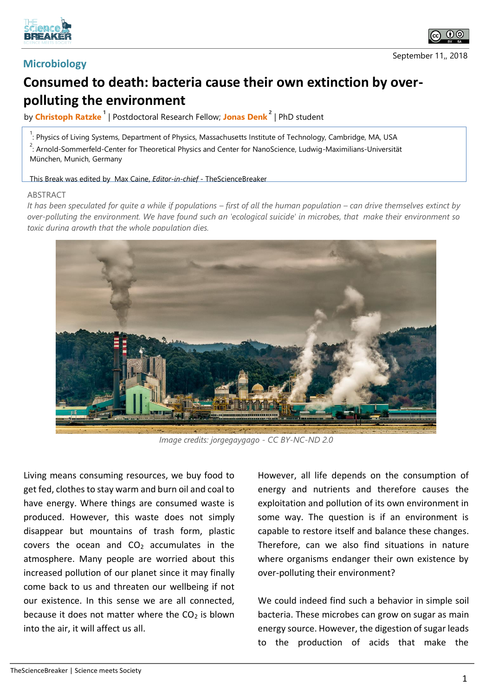

## **Microbiology**

## **Consumed to death: bacteria cause their own extinction by overpolluting the environment**

by **Christoph Ratzke <sup>1</sup>** | Postdoctoral Research Fellow; **Jonas Denk <sup>2</sup>** | PhD student

<sup>1</sup>: Physics of Living Systems, Department of Physics, Massachusetts Institute of Technology, Cambridge, MA, USA  $2\overline{2}$ : Arnold-Sommerfeld-Center for Theoretical Physics and Center for NanoScience, Ludwig-Maximilians-Universität München, Munich, Germany

This Break was edited by Max Caine, *Editor-in-chief* - TheScienceBreaker

## ABSTRACT

*It has been speculated for quite a while if populations – first of all the human population – can drive themselves extinct by over-polluting the environment. We have found such an 'ecological suicide' in microbes, that make their environment so toxic during growth that the whole population dies.*



*Image credits: jorgegaygago - CC BY-NC-ND 2.0*

Living means consuming resources, we buy food to get fed, clothes to stay warm and burn oil and coal to have energy. Where things are consumed waste is produced. However, this waste does not simply disappear but mountains of trash form, plastic covers the ocean and  $CO<sub>2</sub>$  accumulates in the atmosphere. Many people are worried about this increased pollution of our planet since it may finally come back to us and threaten our wellbeing if not our existence. In this sense we are all connected, because it does not matter where the  $CO<sub>2</sub>$  is blown into the air, it will affect us all.

However, all life depends on the consumption of energy and nutrients and therefore causes the exploitation and pollution of its own environment in some way. The question is if an environment is capable to restore itself and balance these changes. Therefore, can we also find situations in nature where organisms endanger their own existence by over-polluting their environment?

We could indeed find such a behavior in simple soil bacteria. These microbes can grow on sugar as main energy source. However, the digestion of sugar leads to the production of acids that make the